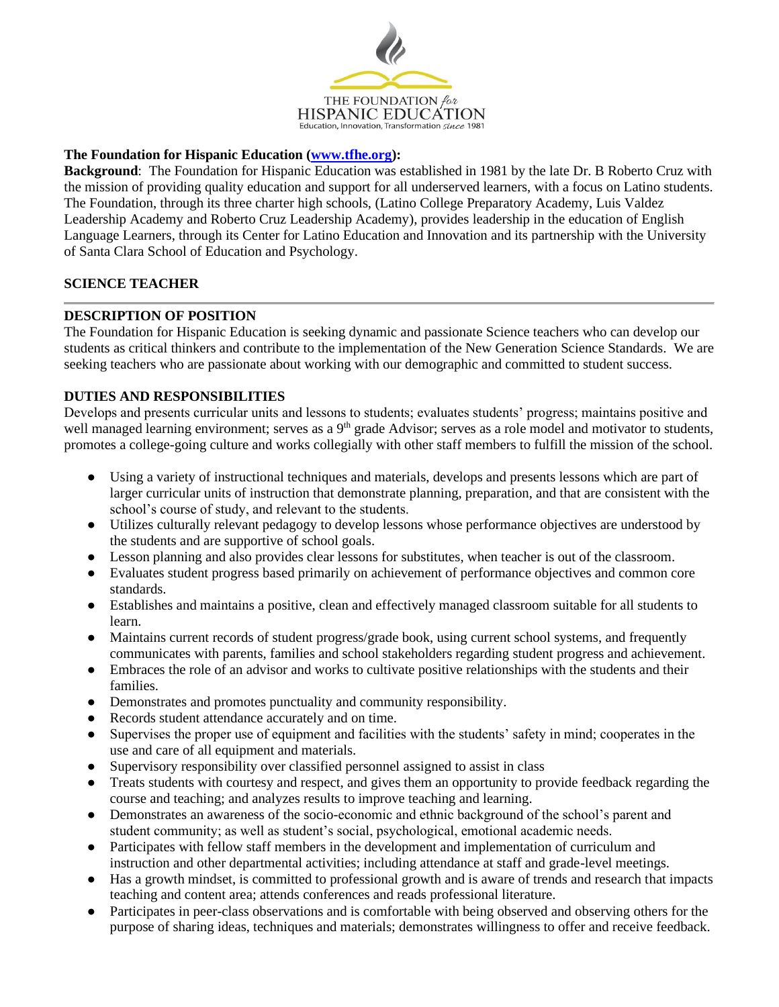

# **The Foundation for Hispanic Education [\(www.tfhe.org\)](http://www.tfhe.org/):**

**Background**: The Foundation for Hispanic Education was established in 1981 by the late Dr. B Roberto Cruz with the mission of providing quality education and support for all underserved learners, with a focus on Latino students. The Foundation, through its three charter high schools, (Latino College Preparatory Academy, Luis Valdez Leadership Academy and Roberto Cruz Leadership Academy), provides leadership in the education of English Language Learners, through its Center for Latino Education and Innovation and its partnership with the University of Santa Clara School of Education and Psychology.

## **SCIENCE TEACHER**

## **DESCRIPTION OF POSITION**

The Foundation for Hispanic Education is seeking dynamic and passionate Science teachers who can develop our students as critical thinkers and contribute to the implementation of the New Generation Science Standards. We are seeking teachers who are passionate about working with our demographic and committed to student success.

## **DUTIES AND RESPONSIBILITIES**

Develops and presents curricular units and lessons to students; evaluates students' progress; maintains positive and well managed learning environment; serves as a 9<sup>th</sup> grade Advisor; serves as a role model and motivator to students, promotes a college-going culture and works collegially with other staff members to fulfill the mission of the school.

- Using a variety of instructional techniques and materials, develops and presents lessons which are part of larger curricular units of instruction that demonstrate planning, preparation, and that are consistent with the school's course of study, and relevant to the students.
- Utilizes culturally relevant pedagogy to develop lessons whose performance objectives are understood by the students and are supportive of school goals.
- Lesson planning and also provides clear lessons for substitutes, when teacher is out of the classroom.
- Evaluates student progress based primarily on achievement of performance objectives and common core standards.
- Establishes and maintains a positive, clean and effectively managed classroom suitable for all students to learn.
- Maintains current records of student progress/grade book, using current school systems, and frequently communicates with parents, families and school stakeholders regarding student progress and achievement.
- Embraces the role of an advisor and works to cultivate positive relationships with the students and their families.
- Demonstrates and promotes punctuality and community responsibility.
- Records student attendance accurately and on time.
- Supervises the proper use of equipment and facilities with the students' safety in mind; cooperates in the use and care of all equipment and materials.
- Supervisory responsibility over classified personnel assigned to assist in class
- Treats students with courtesy and respect, and gives them an opportunity to provide feedback regarding the course and teaching; and analyzes results to improve teaching and learning.
- Demonstrates an awareness of the socio-economic and ethnic background of the school's parent and student community; as well as student's social, psychological, emotional academic needs.
- Participates with fellow staff members in the development and implementation of curriculum and instruction and other departmental activities; including attendance at staff and grade-level meetings.
- Has a growth mindset, is committed to professional growth and is aware of trends and research that impacts teaching and content area; attends conferences and reads professional literature.
- Participates in peer-class observations and is comfortable with being observed and observing others for the purpose of sharing ideas, techniques and materials; demonstrates willingness to offer and receive feedback.